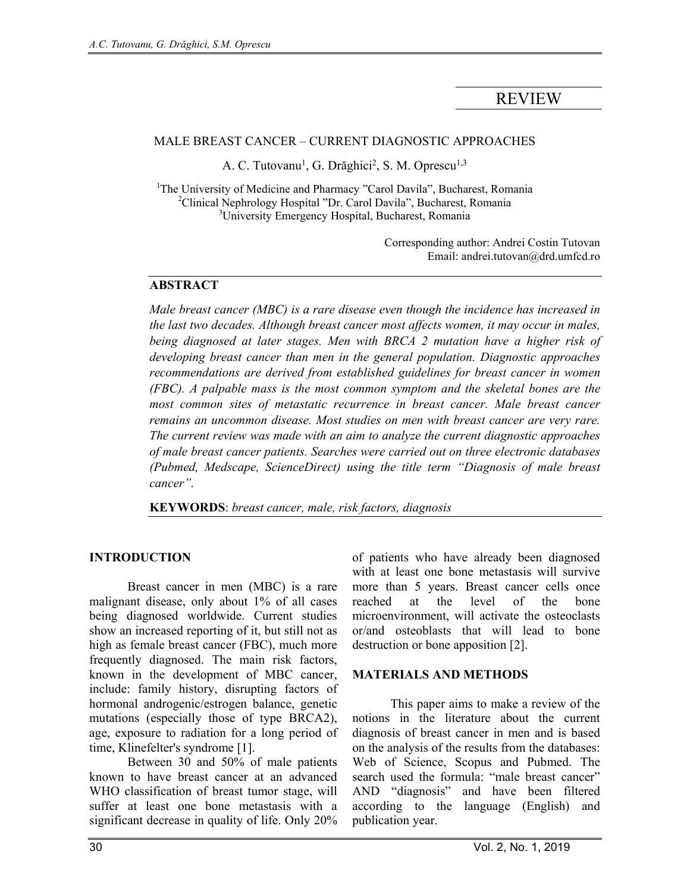# REVIEW

#### MALE BREAST CANCER – CURRENT DIAGNOSTIC APPROACHES

A. C. Tutovanu<sup>1</sup>, G. Drăghici<sup>2</sup>, S. M. Oprescu<sup>1,3</sup>

<sup>1</sup>The University of Medicine and Pharmacy "Carol Davila", Bucharest, Romania <sup>2</sup>Clinical Nephrology Hospital "Dr. Carol Davila", Bucharest, Romania <sup>3</sup>University Emergency Hospital, Bucharest, Romania

> Corresponding author: Andrei Costin Tutovan Email: andrei.tutovan@drd.umfcd.ro

#### **ABSTRACT**

*Male breast cancer (MBC) is a rare disease even though the incidence has increased in the last two decades. Although breast cancer most affects women, it may occur in males, being diagnosed at later stages. Men with BRCA 2 mutation have a higher risk of developing breast cancer than men in the general population. Diagnostic approaches*  recommendations are derived from established guidelines for breast cancer in women *(FBC). A palpable mass is the most common symptom and the skeletal bones are the most common sites of metastatic recurrence in breast cancer. Male breast cancer remains an uncommon disease. Most studies on men with breast cancer are very rare. The current review was made with an aim to analyze the current diagnostic approaches of male breast cancer patients. Searches were carried out on three electronic databases (Pubmed, Medscape, ScienceDirect) using the title term "Diagnosis of male breast cancer".* 

**KEYWORDS**: *breast cancer, male, risk factors, diagnosis*

#### **INTRODUCTION**

 Breast cancer in men (MBC) is a rare malignant disease, only about 1% of all cases being diagnosed worldwide. Current studies show an increased reporting of it, but still not as high as female breast cancer (FBC), much more frequently diagnosed. The main risk factors, known in the development of MBC cancer, include: family history, disrupting factors of hormonal androgenic/estrogen balance, genetic mutations (especially those of type BRCA2), age, exposure to radiation for a long period of time, Klinefelter's syndrome [1].

 Between 30 and 50% of male patients known to have breast cancer at an advanced WHO classification of breast tumor stage, will suffer at least one bone metastasis with a significant decrease in quality of life. Only 20% of patients who have already been diagnosed with at least one bone metastasis will survive more than 5 years. Breast cancer cells once reached at the level of the bone microenvironment, will activate the osteoclasts or/and osteoblasts that will lead to bone destruction or bone apposition [2].

#### **MATERIALS AND METHODS**

This paper aims to make a review of the notions in the literature about the current diagnosis of breast cancer in men and is based on the analysis of the results from the databases: Web of Science, Scopus and Pubmed. The search used the formula: "male breast cancer" AND "diagnosis" and have been filtered according to the language (English) and publication year.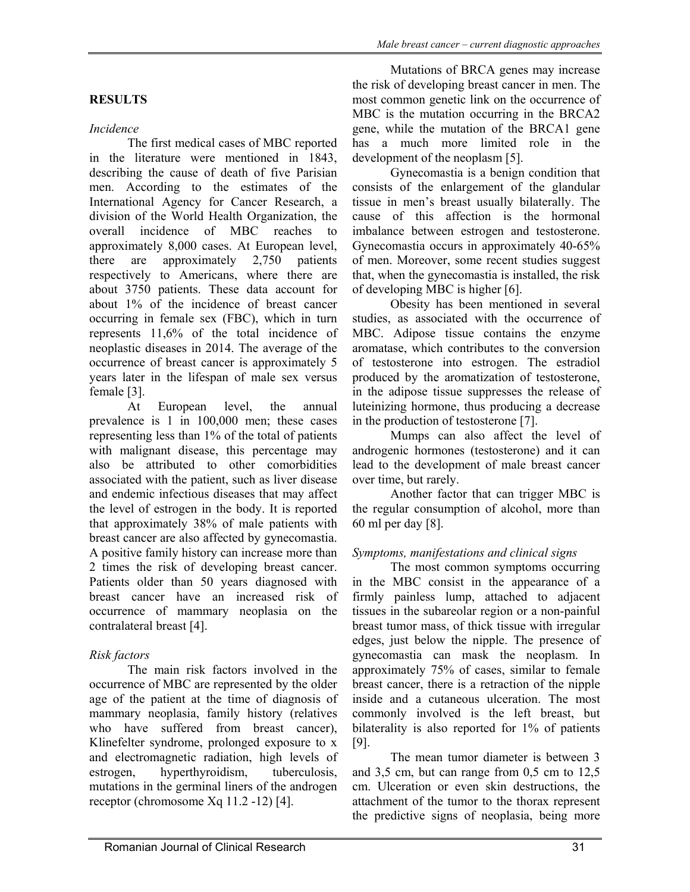#### *Incidence*

The first medical cases of MBC reported in the literature were mentioned in 1843, describing the cause of death of five Parisian men. According to the estimates of the International Agency for Cancer Research, a division of the World Health Organization, the overall incidence of MBC reaches to approximately 8,000 cases. At European level, there are approximately 2,750 patients respectively to Americans, where there are about 3750 patients. These data account for about 1% of the incidence of breast cancer occurring in female sex (FBC), which in turn represents 11,6% of the total incidence of neoplastic diseases in 2014. The average of the occurrence of breast cancer is approximately 5 years later in the lifespan of male sex versus female [3].

At European level, the annual prevalence is 1 in 100,000 men; these cases representing less than 1% of the total of patients with malignant disease, this percentage may also be attributed to other comorbidities associated with the patient, such as liver disease and endemic infectious diseases that may affect the level of estrogen in the body. It is reported that approximately 38% of male patients with breast cancer are also affected by gynecomastia. A positive family history can increase more than 2 times the risk of developing breast cancer. Patients older than 50 years diagnosed with breast cancer have an increased risk of occurrence of mammary neoplasia on the contralateral breast [4].

#### *Risk factors*

The main risk factors involved in the occurrence of MBC are represented by the older age of the patient at the time of diagnosis of mammary neoplasia, family history (relatives who have suffered from breast cancer), Klinefelter syndrome, prolonged exposure to x and electromagnetic radiation, high levels of estrogen, hyperthyroidism, tuberculosis, mutations in the germinal liners of the androgen receptor (chromosome Xq 11.2 -12) [4].

Mutations of BRCA genes may increase the risk of developing breast cancer in men. The most common genetic link on the occurrence of MBC is the mutation occurring in the BRCA2 gene, while the mutation of the BRCA1 gene has a much more limited role in the development of the neoplasm [5].

Gynecomastia is a benign condition that consists of the enlargement of the glandular tissue in men's breast usually bilaterally. The cause of this affection is the hormonal imbalance between estrogen and testosterone. Gynecomastia occurs in approximately 40-65% of men. Moreover, some recent studies suggest that, when the gynecomastia is installed, the risk of developing MBC is higher [6].

Obesity has been mentioned in several studies, as associated with the occurrence of MBC. Adipose tissue contains the enzyme aromatase, which contributes to the conversion of testosterone into estrogen. The estradiol produced by the aromatization of testosterone, in the adipose tissue suppresses the release of luteinizing hormone, thus producing a decrease in the production of testosterone [7].

Mumps can also affect the level of androgenic hormones (testosterone) and it can lead to the development of male breast cancer over time, but rarely.

Another factor that can trigger MBC is the regular consumption of alcohol, more than 60 ml per day [8].

## *Symptoms, manifestations and clinical signs*

The most common symptoms occurring in the MBC consist in the appearance of a firmly painless lump, attached to adjacent tissues in the subareolar region or a non-painful breast tumor mass, of thick tissue with irregular edges, just below the nipple. The presence of gynecomastia can mask the neoplasm. In approximately 75% of cases, similar to female breast cancer, there is a retraction of the nipple inside and a cutaneous ulceration. The most commonly involved is the left breast, but bilaterality is also reported for 1% of patients [9].

The mean tumor diameter is between 3 and 3,5 cm, but can range from 0,5 cm to 12,5 cm. Ulceration or even skin destructions, the attachment of the tumor to the thorax represent the predictive signs of neoplasia, being more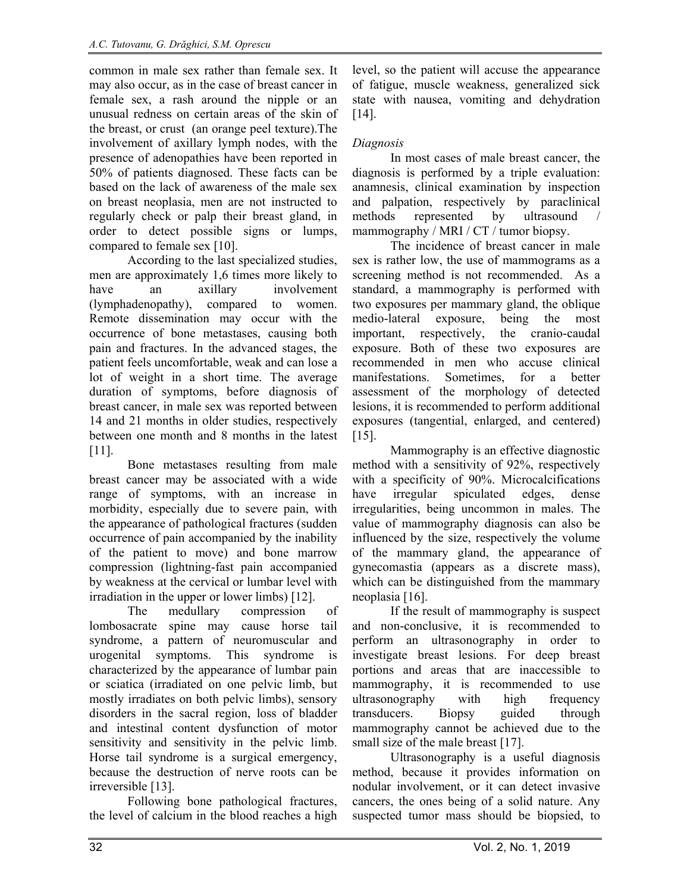common in male sex rather than female sex. It may also occur, as in the case of breast cancer in female sex, a rash around the nipple or an unusual redness on certain areas of the skin of the breast, or crust (an orange peel texture).The involvement of axillary lymph nodes, with the presence of adenopathies have been reported in 50% of patients diagnosed. These facts can be based on the lack of awareness of the male sex on breast neoplasia, men are not instructed to regularly check or palp their breast gland, in order to detect possible signs or lumps, compared to female sex [10].

According to the last specialized studies, men are approximately 1,6 times more likely to have an axillary involvement (lymphadenopathy), compared to women. Remote dissemination may occur with the occurrence of bone metastases, causing both pain and fractures. In the advanced stages, the patient feels uncomfortable, weak and can lose a lot of weight in a short time. The average duration of symptoms, before diagnosis of breast cancer, in male sex was reported between 14 and 21 months in older studies, respectively between one month and 8 months in the latest [11].

Bone metastases resulting from male breast cancer may be associated with a wide range of symptoms, with an increase in morbidity, especially due to severe pain, with the appearance of pathological fractures (sudden occurrence of pain accompanied by the inability of the patient to move) and bone marrow compression (lightning-fast pain accompanied by weakness at the cervical or lumbar level with irradiation in the upper or lower limbs) [12].

The medullary compression of lombosacrate spine may cause horse tail syndrome, a pattern of neuromuscular and urogenital symptoms. This syndrome is characterized by the appearance of lumbar pain or sciatica (irradiated on one pelvic limb, but mostly irradiates on both pelvic limbs), sensory disorders in the sacral region, loss of bladder and intestinal content dysfunction of motor sensitivity and sensitivity in the pelvic limb. Horse tail syndrome is a surgical emergency, because the destruction of nerve roots can be irreversible [13].

Following bone pathological fractures, the level of calcium in the blood reaches a high level, so the patient will accuse the appearance of fatigue, muscle weakness, generalized sick state with nausea, vomiting and dehydration [14].

## *Diagnosis*

In most cases of male breast cancer, the diagnosis is performed by a triple evaluation: anamnesis, clinical examination by inspection and palpation, respectively by paraclinical methods represented by ultrasound mammography / MRI / CT / tumor biopsy.

The incidence of breast cancer in male sex is rather low, the use of mammograms as a screening method is not recommended. As a standard, a mammography is performed with two exposures per mammary gland, the oblique medio-lateral exposure, being the most important, respectively, the cranio-caudal exposure. Both of these two exposures are recommended in men who accuse clinical manifestations. Sometimes, for a better assessment of the morphology of detected lesions, it is recommended to perform additional exposures (tangential, enlarged, and centered)  $[15]$ .

Mammography is an effective diagnostic method with a sensitivity of 92%, respectively with a specificity of 90%. Microcalcifications have irregular spiculated edges, dense irregularities, being uncommon in males. The value of mammography diagnosis can also be influenced by the size, respectively the volume of the mammary gland, the appearance of gynecomastia (appears as a discrete mass), which can be distinguished from the mammary neoplasia [16].

If the result of mammography is suspect and non-conclusive, it is recommended to perform an ultrasonography in order to investigate breast lesions. For deep breast portions and areas that are inaccessible to mammography, it is recommended to use ultrasonography with high frequency transducers. Biopsy guided through mammography cannot be achieved due to the small size of the male breast [17].

Ultrasonography is a useful diagnosis method, because it provides information on nodular involvement, or it can detect invasive cancers, the ones being of a solid nature. Any suspected tumor mass should be biopsied, to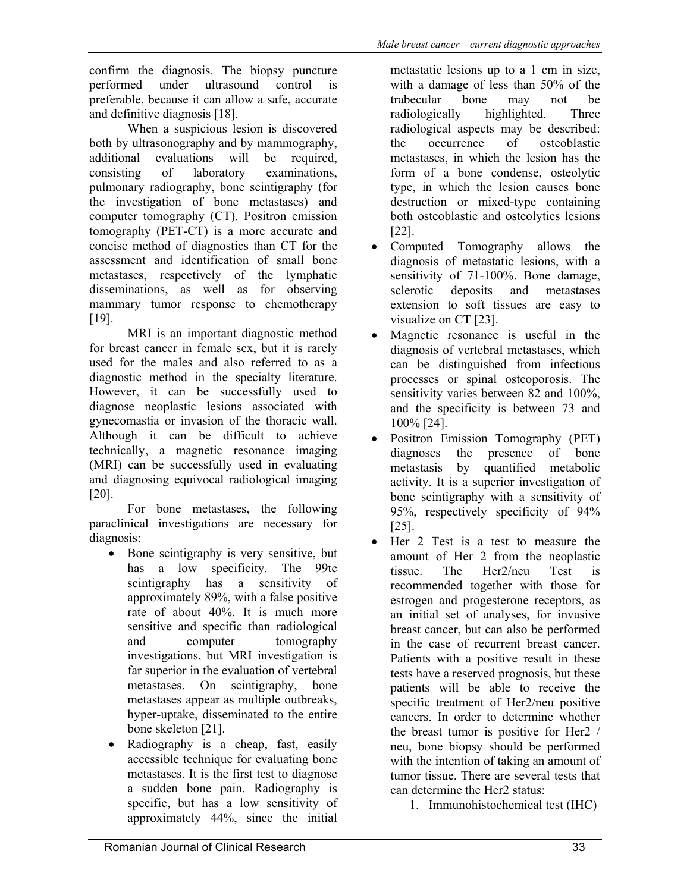confirm the diagnosis. The biopsy puncture performed under ultrasound control is preferable, because it can allow a safe, accurate and definitive diagnosis [18].

When a suspicious lesion is discovered both by ultrasonography and by mammography, additional evaluations will be required, consisting of laboratory examinations, pulmonary radiography, bone scintigraphy (for the investigation of bone metastases) and computer tomography (CT). Positron emission tomography (PET-CT) is a more accurate and concise method of diagnostics than CT for the assessment and identification of small bone metastases, respectively of the lymphatic disseminations, as well as for observing mammary tumor response to chemotherapy [19].

MRI is an important diagnostic method for breast cancer in female sex, but it is rarely used for the males and also referred to as a diagnostic method in the specialty literature. However, it can be successfully used to diagnose neoplastic lesions associated with gynecomastia or invasion of the thoracic wall. Although it can be difficult to achieve technically, a magnetic resonance imaging (MRI) can be successfully used in evaluating and diagnosing equivocal radiological imaging [20].

For bone metastases, the following paraclinical investigations are necessary for diagnosis:

- Bone scintigraphy is very sensitive, but has a low specificity. The 99tc scintigraphy has a sensitivity of approximately 89%, with a false positive rate of about 40%. It is much more sensitive and specific than radiological and computer tomography investigations, but MRI investigation is far superior in the evaluation of vertebral metastases. On scintigraphy, bone metastases appear as multiple outbreaks, hyper-uptake, disseminated to the entire bone skeleton [21].
- Radiography is a cheap, fast, easily accessible technique for evaluating bone metastases. It is the first test to diagnose a sudden bone pain. Radiography is specific, but has a low sensitivity of approximately 44%, since the initial

metastatic lesions up to a 1 cm in size, with a damage of less than 50% of the trabecular bone may not be radiologically highlighted. Three radiological aspects may be described: the occurrence of osteoblastic metastases, in which the lesion has the form of a bone condense, osteolytic type, in which the lesion causes bone destruction or mixed-type containing both osteoblastic and osteolytics lesions [22].

- Computed Tomography allows the diagnosis of metastatic lesions, with a sensitivity of 71-100%. Bone damage, sclerotic deposits and metastases extension to soft tissues are easy to visualize on CT [23].
- Magnetic resonance is useful in the diagnosis of vertebral metastases, which can be distinguished from infectious processes or spinal osteoporosis. The sensitivity varies between 82 and 100%, and the specificity is between 73 and 100% [24].
- Positron Emission Tomography (PET) diagnoses the presence of bone metastasis by quantified metabolic activity. It is a superior investigation of bone scintigraphy with a sensitivity of 95%, respectively specificity of 94% [25].
- Her 2 Test is a test to measure the amount of Her 2 from the neoplastic tissue. The Her2/neu Test is recommended together with those for estrogen and progesterone receptors, as an initial set of analyses, for invasive breast cancer, but can also be performed in the case of recurrent breast cancer. Patients with a positive result in these tests have a reserved prognosis, but these patients will be able to receive the specific treatment of Her2/neu positive cancers. In order to determine whether the breast tumor is positive for Her2 / neu, bone biopsy should be performed with the intention of taking an amount of tumor tissue. There are several tests that can determine the Her2 status:
	- 1. Immunohistochemical test (IHC)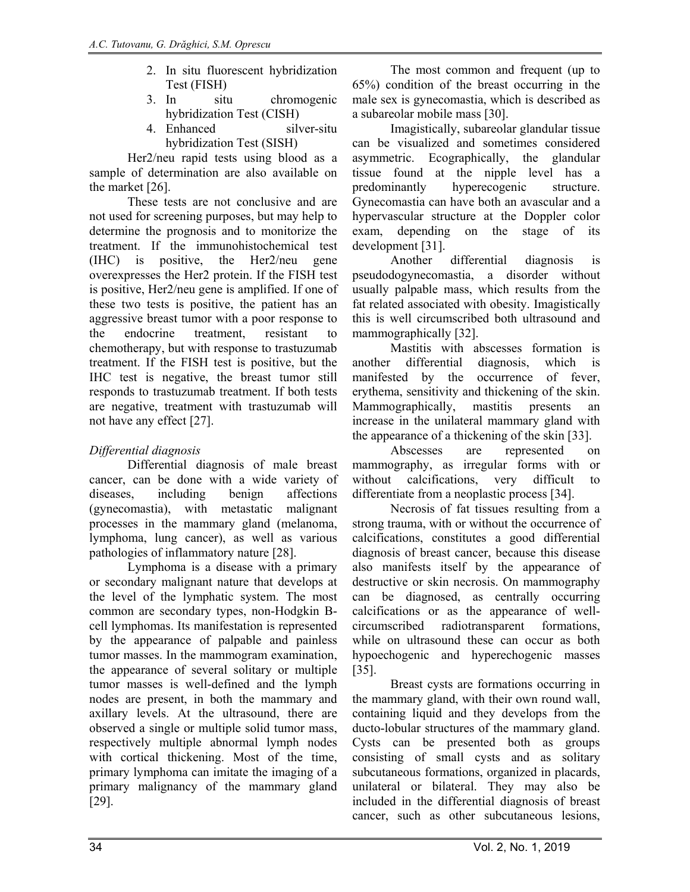- 2. In situ fluorescent hybridization Test (FISH)
- 3. In situ chromogenic hybridization Test (CISH)
- 4. Enhanced silver-situ hybridization Test (SISH)

Her2/neu rapid tests using blood as a sample of determination are also available on the market [26].

These tests are not conclusive and are not used for screening purposes, but may help to determine the prognosis and to monitorize the treatment. If the immunohistochemical test (IHC) is positive, the Her2/neu gene overexpresses the Her2 protein. If the FISH test is positive, Her2/neu gene is amplified. If one of these two tests is positive, the patient has an aggressive breast tumor with a poor response to the endocrine treatment, resistant to chemotherapy, but with response to trastuzumab treatment. If the FISH test is positive, but the IHC test is negative, the breast tumor still responds to trastuzumab treatment. If both tests are negative, treatment with trastuzumab will not have any effect [27].

# *Differential diagnosis*

Differential diagnosis of male breast cancer, can be done with a wide variety of diseases, including benign affections (gynecomastia), with metastatic malignant processes in the mammary gland (melanoma, lymphoma, lung cancer), as well as various pathologies of inflammatory nature [28].

Lymphoma is a disease with a primary or secondary malignant nature that develops at the level of the lymphatic system. The most common are secondary types, non-Hodgkin Bcell lymphomas. Its manifestation is represented by the appearance of palpable and painless tumor masses. In the mammogram examination, the appearance of several solitary or multiple tumor masses is well-defined and the lymph nodes are present, in both the mammary and axillary levels. At the ultrasound, there are observed a single or multiple solid tumor mass, respectively multiple abnormal lymph nodes with cortical thickening. Most of the time, primary lymphoma can imitate the imaging of a primary malignancy of the mammary gland [29].

The most common and frequent (up to 65%) condition of the breast occurring in the male sex is gynecomastia, which is described as a subareolar mobile mass [30].

Imagistically, subareolar glandular tissue can be visualized and sometimes considered asymmetric. Ecographically, the glandular tissue found at the nipple level has a predominantly hyperecogenic structure. Gynecomastia can have both an avascular and a hypervascular structure at the Doppler color exam, depending on the stage of its development [31].

Another differential diagnosis is pseudodogynecomastia, a disorder without usually palpable mass, which results from the fat related associated with obesity. Imagistically this is well circumscribed both ultrasound and mammographically [32].

Mastitis with abscesses formation is another differential diagnosis, which is manifested by the occurrence of fever, erythema, sensitivity and thickening of the skin. Mammographically, mastitis presents an increase in the unilateral mammary gland with the appearance of a thickening of the skin [33].

Abscesses are represented on mammography, as irregular forms with or without calcifications, very difficult to differentiate from a neoplastic process [34].

Necrosis of fat tissues resulting from a strong trauma, with or without the occurrence of calcifications, constitutes a good differential diagnosis of breast cancer, because this disease also manifests itself by the appearance of destructive or skin necrosis. On mammography can be diagnosed, as centrally occurring calcifications or as the appearance of wellcircumscribed radiotransparent formations, while on ultrasound these can occur as both hypoechogenic and hyperechogenic masses [35].

Breast cysts are formations occurring in the mammary gland, with their own round wall, containing liquid and they develops from the ducto-lobular structures of the mammary gland. Cysts can be presented both as groups consisting of small cysts and as solitary subcutaneous formations, organized in placards, unilateral or bilateral. They may also be included in the differential diagnosis of breast cancer, such as other subcutaneous lesions,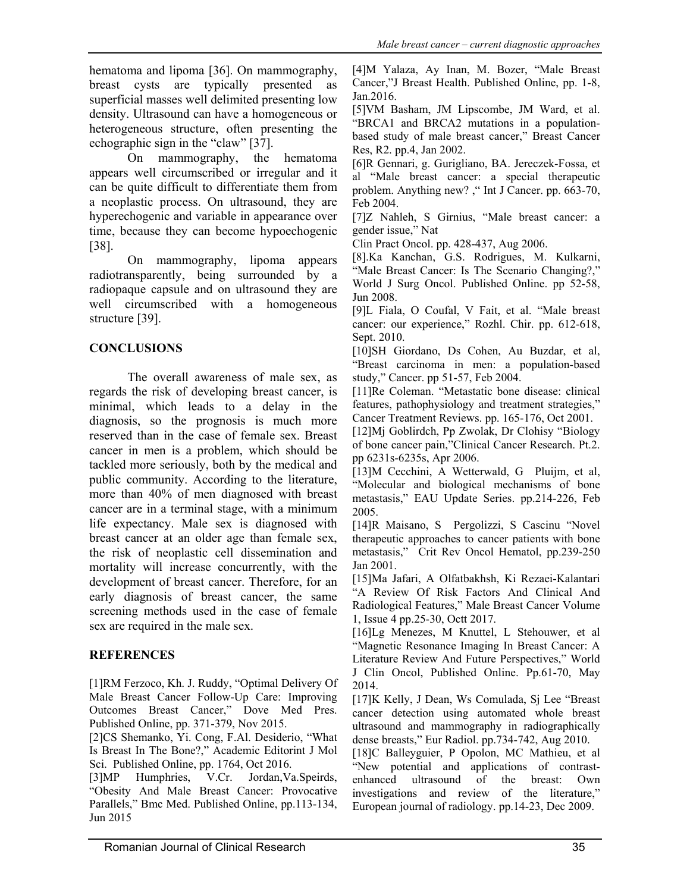hematoma and lipoma [36]. On mammography, breast cysts are typically presented as superficial masses well delimited presenting low density. Ultrasound can have a homogeneous or heterogeneous structure, often presenting the echographic sign in the "claw" [37].

On mammography, the hematoma appears well circumscribed or irregular and it can be quite difficult to differentiate them from a neoplastic process. On ultrasound, they are hyperechogenic and variable in appearance over time, because they can become hypoechogenic [38].

On mammography, lipoma appears radiotransparently, being surrounded by a radiopaque capsule and on ultrasound they are well circumscribed with a homogeneous structure [39].

## **CONCLUSIONS**

The overall awareness of male sex, as regards the risk of developing breast cancer, is minimal, which leads to a delay in the diagnosis, so the prognosis is much more reserved than in the case of female sex. Breast cancer in men is a problem, which should be tackled more seriously, both by the medical and public community. According to the literature, more than 40% of men diagnosed with breast cancer are in a terminal stage, with a minimum life expectancy. Male sex is diagnosed with breast cancer at an older age than female sex, the risk of neoplastic cell dissemination and mortality will increase concurrently, with the development of breast cancer. Therefore, for an early diagnosis of breast cancer, the same screening methods used in the case of female sex are required in the male sex.

#### **REFERENCES**

[1]RM Ferzoco, Kh. J. Ruddy, "Optimal Delivery Of Male Breast Cancer Follow-Up Care: Improving Outcomes Breast Cancer," Dove Med Pres. Published Online, pp. 371-379, Nov 2015.

[2]CS Shemanko, Yi. Cong, F.Al. Desiderio, "What Is Breast In The Bone?," Academic Editorint J Mol Sci. Published Online, pp. 1764, Oct 2016.

[3]MP Humphries, V.Cr. Jordan,Va.Speirds, "Obesity And Male Breast Cancer: Provocative Parallels," Bmc Med. Published Online, pp.113-134, Jun 2015

[4]M Yalaza, Ay Inan, M. Bozer, "Male Breast Cancer,"J Breast Health. Published Online, pp. 1-8, Jan.2016.

[5]VM Basham, JM Lipscombe, JM Ward, et al. "BRCA1 and BRCA2 mutations in a populationbased study of male breast cancer," Breast Cancer Res, R2. pp.4, Jan 2002.

[6]R Gennari, g. Gurigliano, BA. Jereczek-Fossa, et al "Male breast cancer: a special therapeutic problem. Anything new? ," Int J Cancer. pp. 663-70, Feb 2004.

[7]Z Nahleh, S Girnius, "Male breast cancer: a gender issue," Nat

Clin Pract Oncol. pp. 428-437, Aug 2006.

[8].Ka Kanchan, G.S. Rodrigues, M. Kulkarni, "Male Breast Cancer: Is The Scenario Changing?,"

World J Surg Oncol. Published Online. pp 52-58, Jun 2008.

[9]L Fiala, O Coufal, V Fait, et al. "Male breast cancer: our experience," Rozhl. Chir. pp. 612-618, Sept. 2010.

[10]SH Giordano, Ds Cohen, Au Buzdar, et al, "Breast carcinoma in men: a population-based study," Cancer. pp 51-57, Feb 2004.

[11]Re Coleman. "Metastatic bone disease: clinical features, pathophysiology and treatment strategies," Cancer Treatment Reviews. pp. 165-176, Oct 2001.

[12]Mj Goblirdch, Pp Zwolak, Dr Clohisy "Biology of bone cancer pain,"Clinical Cancer Research. Pt.2. pp 6231s-6235s, Apr 2006.

[13]M Cecchini, A Wetterwald, G Pluijm, et al, "Molecular and biological mechanisms of bone metastasis," EAU Update Series. pp.214-226, Feb 2005.

[14]R Maisano, S Pergolizzi, S Cascinu "Novel therapeutic approaches to cancer patients with bone metastasis," Crit Rev Oncol Hematol, pp.239-250 Jan 2001.

[15]Ma Jafari, A Olfatbakhsh, Ki Rezaei-Kalantari "A Review Of Risk Factors And Clinical And Radiological Features," Male Breast Cancer Volume 1, Issue 4 pp.25-30, Octt 2017.

[16]Lg Menezes, M Knuttel, L Stehouwer, et al "Magnetic Resonance Imaging In Breast Cancer: A Literature Review And Future Perspectives," World J Clin Oncol, Published Online. Pp.61-70, May 2014.

[17]K Kelly, J Dean, Ws Comulada, Sj Lee "Breast cancer detection using automated whole breast ultrasound and mammography in radiographically dense breasts," Eur Radiol. pp.734-742, Aug 2010.

[18]C Balleyguier, P Opolon, MC Mathieu, et al "New potential and applications of contrastenhanced ultrasound of the breast: Own investigations and review of the literature," European journal of radiology. pp.14-23, Dec 2009.